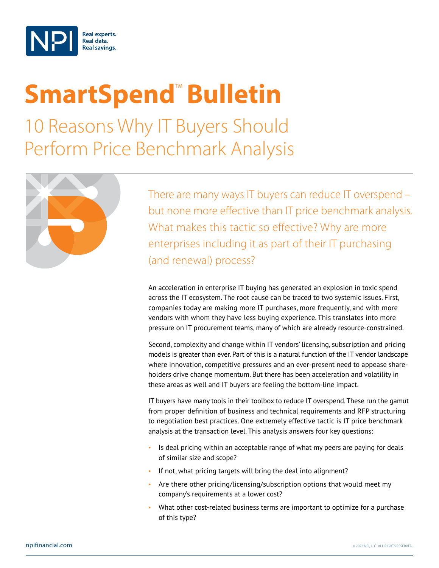

## **SmartSpend<sup>™</sup> Bulletin**

10 Reasons Why IT Buyers Should Perform Price Benchmark Analysis



There are many ways IT buyers can reduce IT overspend – but none more effective than IT price benchmark analysis. What makes this tactic so effective? Why are more enterprises including it as part of their IT purchasing (and renewal) process?

An acceleration in enterprise IT buying has generated an explosion in toxic spend across the IT ecosystem. The root cause can be traced to two systemic issues. First, companies today are making more IT purchases, more frequently, and with more vendors with whom they have less buying experience. This translates into more pressure on IT procurement teams, many of which are already resource-constrained.

Second, complexity and change within IT vendors' licensing, subscription and pricing models is greater than ever. Part of this is a natural function of the IT vendor landscape where innovation, competitive pressures and an ever-present need to appease shareholders drive change momentum. But there has been acceleration and volatility in these areas as well and IT buyers are feeling the bottom-line impact.

IT buyers have many tools in their toolbox to reduce IT overspend. These run the gamut from proper definition of business and technical requirements and RFP structuring to negotiation best practices. One extremely effective tactic is IT price benchmark analysis at the transaction level. This analysis answers four key questions:

- Is deal pricing within an acceptable range of what my peers are paying for deals of similar size and scope?
- If not, what pricing targets will bring the deal into alignment?
- Are there other pricing/licensing/subscription options that would meet my company's requirements at a lower cost?
- What other cost-related business terms are important to optimize for a purchase of this type?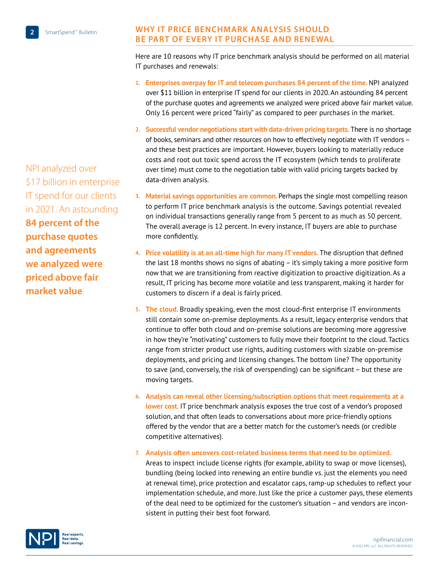**Why IT Price Benchmark Analysis Should Be Part of Every IT Purchase and Renewal**

Here are 10 reasons why IT price benchmark analysis should be performed on all material IT purchases and renewals:

- **1. Enterprises overpay for IT and telecom purchases 84 percent of the time.** NPI analyzed over \$11 billion in enterprise IT spend for our clients in 2020. An astounding 84 percent of the purchase quotes and agreements we analyzed were priced above fair market value. Only 16 percent were priced "fairly" as compared to peer purchases in the market.
- **2. Successful vendor negotiations start with data-driven pricing targets.** There is no shortage of books, seminars and other resources on how to effectively negotiate with IT vendors – and these best practices are important. However, buyers looking to materially reduce costs and root out toxic spend across the IT ecosystem (which tends to proliferate over time) must come to the negotiation table with valid pricing targets backed by data-driven analysis.
- **3. Material savings opportunities are common.** Perhaps the single most compelling reason to perform IT price benchmark analysis is the outcome. Savings potential revealed on individual transactions generally range from 5 percent to as much as 50 percent. The overall average is 12 percent. In every instance, IT buyers are able to purchase more confidently.
- **4. Price volatility is at an all-time high for many IT vendors.** The disruption that defined the last 18 months shows no signs of abating – it's simply taking a more positive form now that we are transitioning from reactive digitization to proactive digitization. As a result, IT pricing has become more volatile and less transparent, making it harder for customers to discern if a deal is fairly priced.
- **5. The cloud.** Broadly speaking, even the most cloud-first enterprise IT environments still contain some on-premise deployments. As a result, legacy enterprise vendors that continue to offer both cloud and on-premise solutions are becoming more aggressive in how they're "motivating" customers to fully move their footprint to the cloud. Tactics range from stricter product use rights, auditing customers with sizable on-premise deployments, and pricing and licensing changes. The bottom line? The opportunity to save (and, conversely, the risk of overspending) can be significant – but these are moving targets.
- **6. Analysis can reveal other licensing/subscription options that meet requirements at a lower cost.** IT price benchmark analysis exposes the true cost of a vendor's proposed solution, and that often leads to conversations about more price-friendly options offered by the vendor that are a better match for the customer's needs (or credible competitive alternatives).

**7. Analysis often uncovers cost-related business terms that need to be optimized.** 

Areas to inspect include license rights (for example, ability to swap or move licenses), bundling (being locked into renewing an entire bundle vs. just the elements you need at renewal time), price protection and escalator caps, ramp-up schedules to reflect your implementation schedule, and more. Just like the price a customer pays, these elements of the deal need to be optimized for the customer's situation – and vendors are inconsistent in putting their best foot forward.

NPI analyzed over \$17 billion in enterprise IT spend for our clients in 2021. An astounding **84 percent of the purchase quotes and agreements we analyzed were priced above fair market value**.